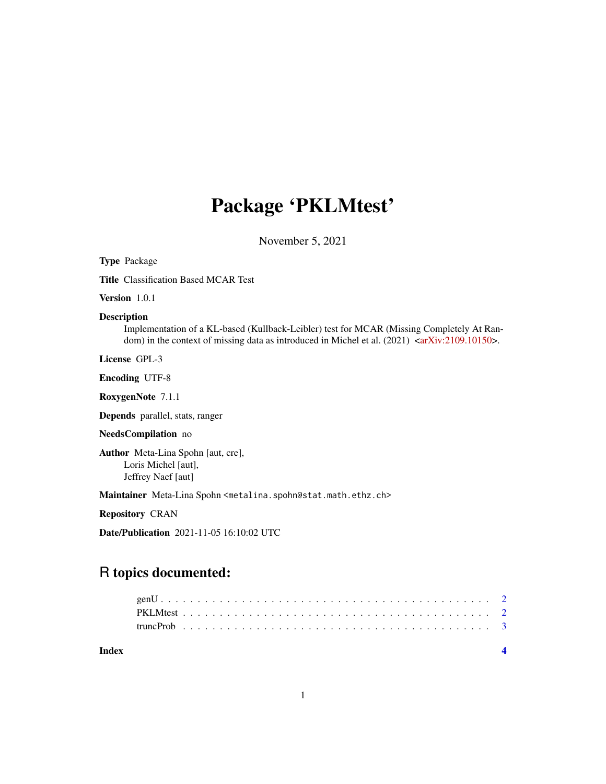# Package 'PKLMtest'

November 5, 2021

Type Package Title Classification Based MCAR Test Version 1.0.1 Description Implementation of a KL-based (Kullback-Leibler) test for MCAR (Missing Completely At Random) in the context of missing data as introduced in Michel et al.  $(2021)$  [<arXiv:2109.10150>](https://arxiv.org/abs/2109.10150). License GPL-3 Encoding UTF-8 RoxygenNote 7.1.1 Depends parallel, stats, ranger NeedsCompilation no Author Meta-Lina Spohn [aut, cre], Loris Michel [aut], Jeffrey Naef [aut] Maintainer Meta-Lina Spohn <metalina.spohn@stat.math.ethz.ch> Repository CRAN Date/Publication 2021-11-05 16:10:02 UTC R topics documented:

## genU . . . . . . . . . . . . . . . . . . . . . . . . . . . . . . . . . . . . . . . . . . . . . [2](#page-1-0) PKLMtest . . . . . . . . . . . . . . . . . . . . . . . . . . . . . . . . . . . . . . . . . . [2](#page-1-0) truncProb . . . . . . . . . . . . . . . . . . . . . . . . . . . . . . . . . . . . . . . . . . [3](#page-2-0)

**Index** [4](#page-3-0)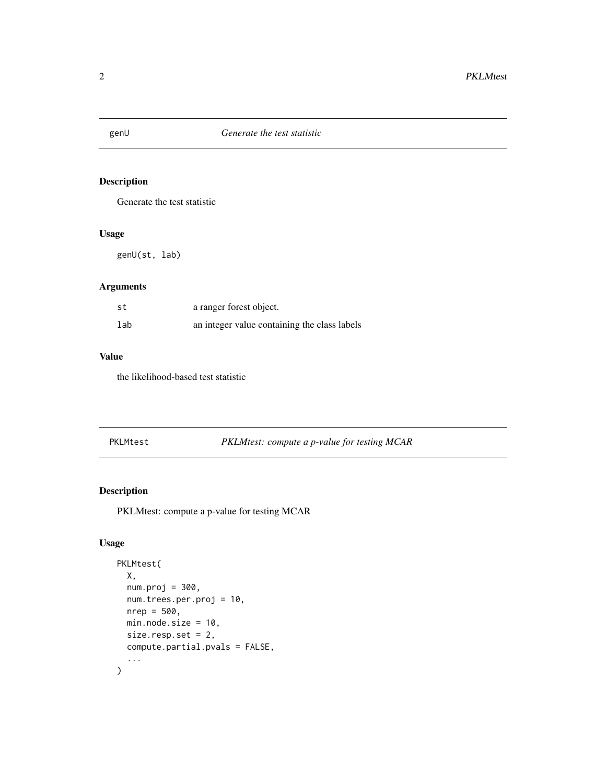<span id="page-1-0"></span>

## Description

Generate the test statistic

#### Usage

genU(st, lab)

#### Arguments

| st  | a ranger forest object.                      |
|-----|----------------------------------------------|
| lab | an integer value containing the class labels |

#### Value

the likelihood-based test statistic

PKLMtest *PKLMtest: compute a p-value for testing MCAR*

## Description

PKLMtest: compute a p-value for testing MCAR

#### Usage

```
PKLMtest(
  X,
  num.proj = 300,
  num.trees.per.proj = 10,
  nrep = 500,
  min.node.size = 10,
  size.resp.set = 2,
  compute.partial.pvals = FALSE,
  ...
\overline{\phantom{a}}
```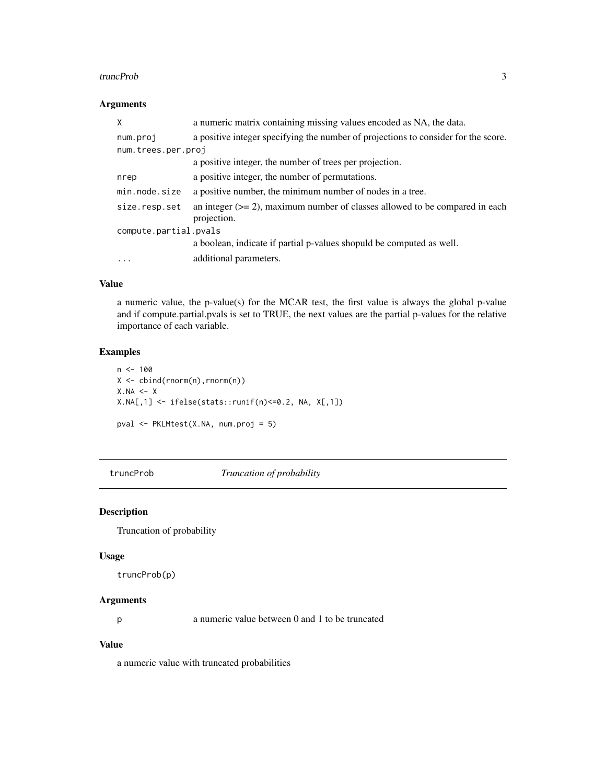#### <span id="page-2-0"></span>truncProb 3

#### Arguments

| X                     | a numeric matrix containing missing values encoded as NA, the data.                           |
|-----------------------|-----------------------------------------------------------------------------------------------|
| num.proj              | a positive integer specifying the number of projections to consider for the score.            |
| num.trees.per.proj    |                                                                                               |
|                       | a positive integer, the number of trees per projection.                                       |
| nrep                  | a positive integer, the number of permutations.                                               |
| min.node.size         | a positive number, the minimum number of nodes in a tree.                                     |
| size.resp.set         | an integer $(>= 2)$ , maximum number of classes allowed to be compared in each<br>projection. |
| compute.partial.pvals |                                                                                               |
|                       | a boolean, indicate if partial p-values shopuld be computed as well.                          |
| $\cdots$              | additional parameters.                                                                        |

#### Value

a numeric value, the p-value(s) for the MCAR test, the first value is always the global p-value and if compute.partial.pvals is set to TRUE, the next values are the partial p-values for the relative importance of each variable.

#### Examples

```
n < - 100X <- cbind(rnorm(n),rnorm(n))
X.NA \leq XX.NA[,1] <- ifelse(stats::runif(n)<=0.2, NA, X[,1])
pval <- PKLMtest(X.NA, num.proj = 5)
```
truncProb *Truncation of probability*

#### Description

Truncation of probability

#### Usage

truncProb(p)

#### Arguments

p a numeric value between 0 and 1 to be truncated

#### Value

a numeric value with truncated probabilities